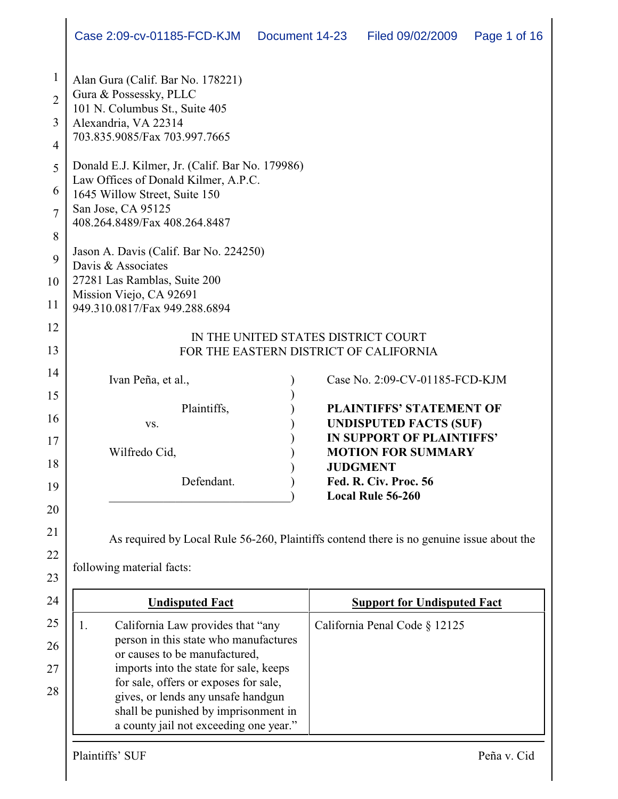|                                                       | Case 2:09-cv-01185-FCD-KJM Document 14-23                                                                                                                                                                                                                                                                                    |  | Filed 09/02/2009                                                                                                                                                                                                                     | Page 1 of 16 |
|-------------------------------------------------------|------------------------------------------------------------------------------------------------------------------------------------------------------------------------------------------------------------------------------------------------------------------------------------------------------------------------------|--|--------------------------------------------------------------------------------------------------------------------------------------------------------------------------------------------------------------------------------------|--------------|
| $\mathbf{1}$<br>$\overline{2}$<br>3<br>$\overline{4}$ | Alan Gura (Calif. Bar No. 178221)<br>Gura & Possessky, PLLC<br>101 N. Columbus St., Suite 405<br>Alexandria, VA 22314<br>703.835.9085/Fax 703.997.7665                                                                                                                                                                       |  |                                                                                                                                                                                                                                      |              |
| 5<br>6<br>$\overline{7}$<br>8                         | Donald E.J. Kilmer, Jr. (Calif. Bar No. 179986)<br>Law Offices of Donald Kilmer, A.P.C.<br>1645 Willow Street, Suite 150<br>San Jose, CA 95125<br>408.264.8489/Fax 408.264.8487                                                                                                                                              |  |                                                                                                                                                                                                                                      |              |
| 9<br>10<br>11                                         | Jason A. Davis (Calif. Bar No. 224250)<br>Davis & Associates<br>27281 Las Ramblas, Suite 200<br>Mission Viejo, CA 92691<br>949.310.0817/Fax 949.288.6894                                                                                                                                                                     |  |                                                                                                                                                                                                                                      |              |
| 12<br>13                                              |                                                                                                                                                                                                                                                                                                                              |  | IN THE UNITED STATES DISTRICT COURT<br>FOR THE EASTERN DISTRICT OF CALIFORNIA                                                                                                                                                        |              |
| 14<br>15<br>16<br>17<br>18<br>19<br>20<br>21<br>22    | Ivan Peña, et al.,<br>Plaintiffs,<br>VS.<br>Wilfredo Cid,<br>Defendant.<br>As required by Local Rule 56-260, Plaintiffs contend there is no genuine issue about the<br>following material facts:                                                                                                                             |  | Case No. 2:09-CV-01185-FCD-KJM<br><b>PLAINTIFFS' STATEMENT OF</b><br><b>UNDISPUTED FACTS (SUF)</b><br>IN SUPPORT OF PLAINTIFFS'<br><b>MOTION FOR SUMMARY</b><br><b>JUDGMENT</b><br>Fed. R. Civ. Proc. 56<br><b>Local Rule 56-260</b> |              |
| 23<br>24                                              | <b>Undisputed Fact</b>                                                                                                                                                                                                                                                                                                       |  | <b>Support for Undisputed Fact</b>                                                                                                                                                                                                   |              |
| 25<br>26<br>27<br>28                                  | 1.<br>California Law provides that "any<br>person in this state who manufactures<br>or causes to be manufactured,<br>imports into the state for sale, keeps<br>for sale, offers or exposes for sale,<br>gives, or lends any unsafe handgun<br>shall be punished by imprisonment in<br>a county jail not exceeding one year." |  | California Penal Code § 12125                                                                                                                                                                                                        |              |
|                                                       | Plaintiffs' SUF                                                                                                                                                                                                                                                                                                              |  |                                                                                                                                                                                                                                      | Peña v. Cid  |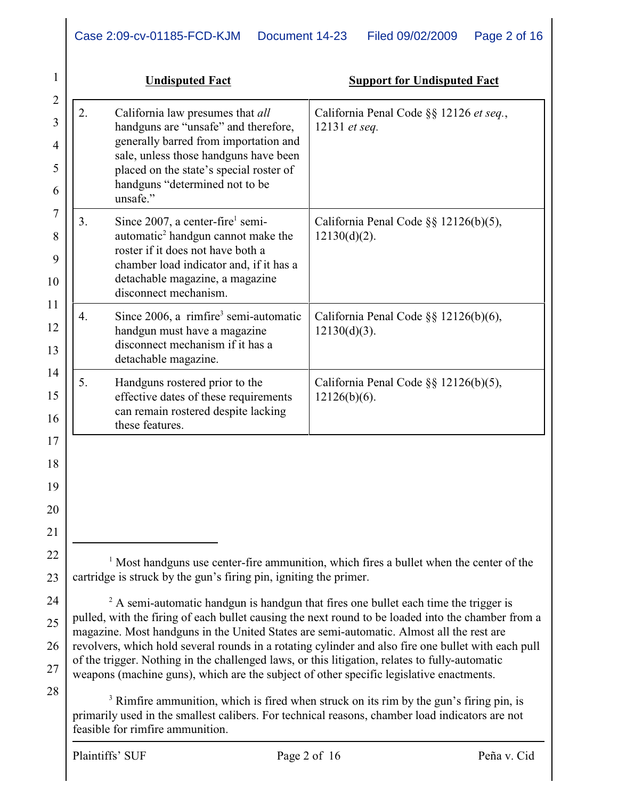|    | <b>Undisputed Fact</b>                                                                                                                                                                                                                              | <b>Support for Undisputed Fact</b>                                                                 |
|----|-----------------------------------------------------------------------------------------------------------------------------------------------------------------------------------------------------------------------------------------------------|----------------------------------------------------------------------------------------------------|
| 2. | California law presumes that all<br>handguns are "unsafe" and therefore,<br>generally barred from importation and<br>sale, unless those handguns have been<br>placed on the state's special roster of<br>handguns "determined not to be<br>unsafe." | California Penal Code §§ 12126 et seq.,<br>12131 et seq.                                           |
| 3. | Since $2007$ , a center-fire <sup>1</sup> semi-<br>automatic <sup>2</sup> handgun cannot make the<br>roster if it does not have both a<br>chamber load indicator and, if it has a<br>detachable magazine, a magazine<br>disconnect mechanism.       | California Penal Code §§ 12126(b)(5),<br>$12130(d)(2)$ .                                           |
| 4. | Since $2006$ , a rimfire <sup>3</sup> semi-automatic<br>handgun must have a magazine<br>disconnect mechanism if it has a<br>detachable magazine.                                                                                                    | California Penal Code §§ 12126(b)(6),<br>$12130(d)(3)$ .                                           |
| 5. | Handguns rostered prior to the<br>effective dates of these requirements<br>can remain rostered despite lacking<br>these features.                                                                                                                   | California Penal Code §§ 12126(b)(5),<br>$12126(b)(6)$ .                                           |
|    |                                                                                                                                                                                                                                                     |                                                                                                    |
|    |                                                                                                                                                                                                                                                     |                                                                                                    |
|    |                                                                                                                                                                                                                                                     |                                                                                                    |
|    |                                                                                                                                                                                                                                                     |                                                                                                    |
|    |                                                                                                                                                                                                                                                     | <sup>1</sup> Most handguns use center-fire ammunition, which fires a bullet when the center of the |
|    | cartridge is struck by the gun's firing pin, igniting the primer.                                                                                                                                                                                   |                                                                                                    |

24 25 26  $A$  semi-automatic handgun is handgun that fires one bullet each time the trigger is pulled, with the firing of each bullet causing the next round to be loaded into the chamber from a magazine. Most handguns in the United States are semi-automatic. Almost all the rest are revolvers, which hold several rounds in a rotating cylinder and also fire one bullet with each pull of the trigger. Nothing in the challenged laws, or this litigation, relates to fully-automatic weapons (machine guns), which are the subject of other specific legislative enactments.

28

27

 $3$  Rimfire ammunition, which is fired when struck on its rim by the gun's firing pin, is primarily used in the smallest calibers. For technical reasons, chamber load indicators are not feasible for rimfire ammunition.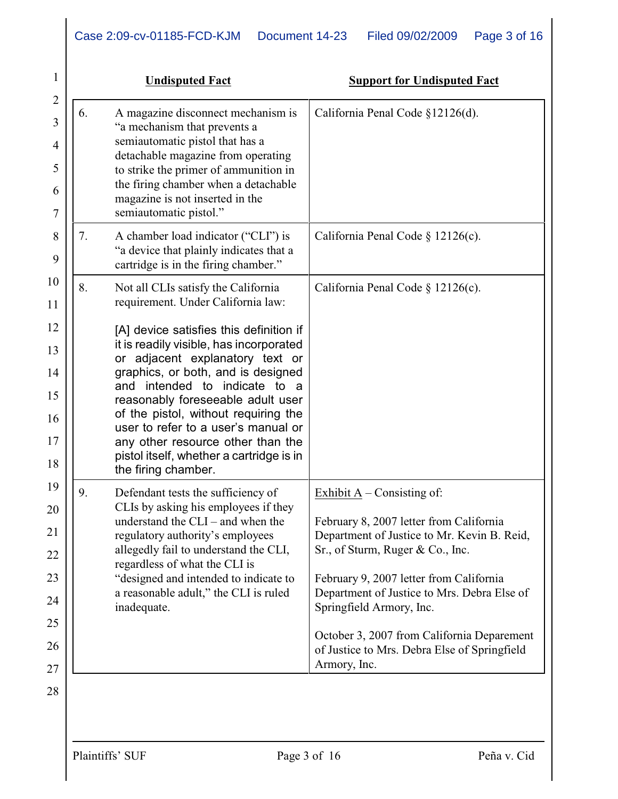|    | <b>Undisputed Fact</b>                                                                                                                                                                                                                                                                                                                                                                                                                                                                                   | <b>Support for Undisputed Fact</b>                                                                                                                                                                                                                                                                                                                                                             |
|----|----------------------------------------------------------------------------------------------------------------------------------------------------------------------------------------------------------------------------------------------------------------------------------------------------------------------------------------------------------------------------------------------------------------------------------------------------------------------------------------------------------|------------------------------------------------------------------------------------------------------------------------------------------------------------------------------------------------------------------------------------------------------------------------------------------------------------------------------------------------------------------------------------------------|
| 6. | A magazine disconnect mechanism is<br>"a mechanism that prevents a<br>semiautomatic pistol that has a<br>detachable magazine from operating<br>to strike the primer of ammunition in<br>the firing chamber when a detachable<br>magazine is not inserted in the<br>semiautomatic pistol."                                                                                                                                                                                                                | California Penal Code §12126(d).                                                                                                                                                                                                                                                                                                                                                               |
| 7. | A chamber load indicator ("CLI") is<br>"a device that plainly indicates that a<br>cartridge is in the firing chamber."                                                                                                                                                                                                                                                                                                                                                                                   | California Penal Code $\S$ 12126(c).                                                                                                                                                                                                                                                                                                                                                           |
| 8. | Not all CLIs satisfy the California<br>requirement. Under California law:<br>[A] device satisfies this definition if<br>it is readily visible, has incorporated<br>or adjacent explanatory text or<br>graphics, or both, and is designed<br>intended to indicate to a<br>and<br>reasonably foreseeable adult user<br>of the pistol, without requiring the<br>user to refer to a user's manual or<br>any other resource other than the<br>pistol itself, whether a cartridge is in<br>the firing chamber. | California Penal Code § 12126(c).                                                                                                                                                                                                                                                                                                                                                              |
| 9. | Defendant tests the sufficiency of<br>CLIs by asking his employees if they<br>understand the $CLI$ – and when the<br>regulatory authority's employees<br>allegedly fail to understand the CLI,<br>regardless of what the CLI is<br>"designed and intended to indicate to<br>a reasonable adult," the CLI is ruled<br>inadequate.                                                                                                                                                                         | Exhibit $A -$ Consisting of:<br>February 8, 2007 letter from California<br>Department of Justice to Mr. Kevin B. Reid,<br>Sr., of Sturm, Ruger & Co., Inc.<br>February 9, 2007 letter from California<br>Department of Justice to Mrs. Debra Else of<br>Springfield Armory, Inc.<br>October 3, 2007 from California Deparement<br>of Justice to Mrs. Debra Else of Springfield<br>Armory, Inc. |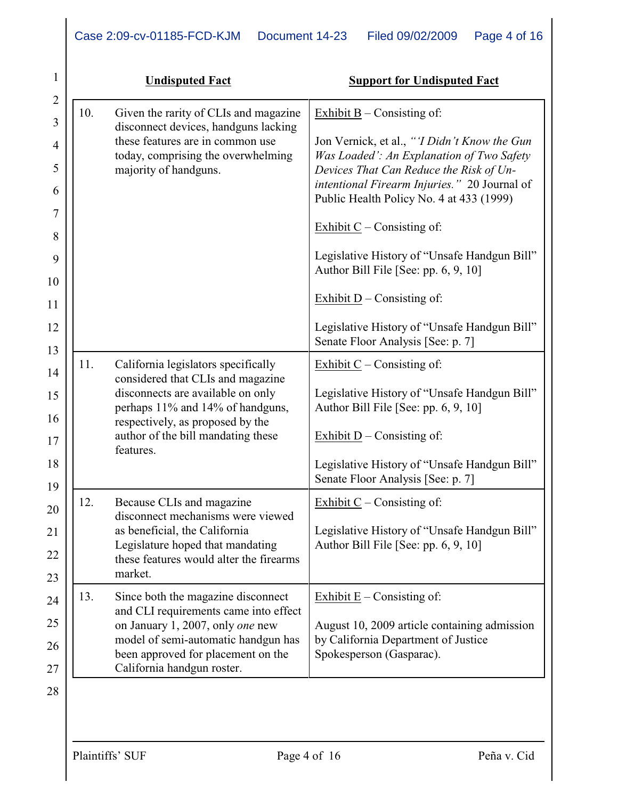| 1                   |     | <b>Undisputed Fact</b>                                                              | <b>Support for Undisputed Fact</b>                                                       |
|---------------------|-----|-------------------------------------------------------------------------------------|------------------------------------------------------------------------------------------|
| $\overline{2}$<br>3 | 10. | Given the rarity of CLIs and magazine                                               | Exhibit $B -$ Consisting of:                                                             |
| $\overline{4}$      |     | disconnect devices, handguns lacking<br>these features are in common use            | Jon Vernick, et al., "T Didn't Know the Gun                                              |
| 5                   |     | today, comprising the overwhelming<br>majority of handguns.                         | Was Loaded': An Explanation of Two Safety<br>Devices That Can Reduce the Risk of Un-     |
| 6                   |     |                                                                                     | intentional Firearm Injuries." 20 Journal of<br>Public Health Policy No. 4 at 433 (1999) |
| 7<br>8              |     |                                                                                     | Exhibit $C$ – Consisting of:                                                             |
| 9<br>10             |     |                                                                                     | Legislative History of "Unsafe Handgun Bill"<br>Author Bill File [See: pp. 6, 9, 10]     |
| 11                  |     |                                                                                     | Exhibit $D$ – Consisting of:                                                             |
| 12<br>13            |     |                                                                                     | Legislative History of "Unsafe Handgun Bill"<br>Senate Floor Analysis [See: p. 7]        |
| 14                  | 11. | California legislators specifically<br>considered that CLIs and magazine            | Exhibit $C$ – Consisting of:                                                             |
| 15                  |     | disconnects are available on only<br>perhaps 11% and 14% of handguns,               | Legislative History of "Unsafe Handgun Bill"<br>Author Bill File [See: pp. 6, 9, 10]     |
| 16<br>17            |     | respectively, as proposed by the<br>author of the bill mandating these<br>features. | Exhibit $D$ – Consisting of:                                                             |
| 18<br>19            |     |                                                                                     | Legislative History of "Unsafe Handgun Bill"<br>Senate Floor Analysis [See: p. 7]        |
| 20                  | 12. | Because CLIs and magazine<br>disconnect mechanisms were viewed                      | Exhibit $C$ – Consisting of:                                                             |
| 21                  |     | as beneficial, the California<br>Legislature hoped that mandating                   | Legislative History of "Unsafe Handgun Bill"<br>Author Bill File [See: pp. 6, 9, 10]     |
| 22                  |     | these features would alter the firearms<br>market.                                  |                                                                                          |
| 23                  | 13. | Since both the magazine disconnect                                                  | Exhibit $E -$ Consisting of:                                                             |
| 24<br>25            |     | and CLI requirements came into effect<br>on January 1, 2007, only one new           | August 10, 2009 article containing admission                                             |
| 26                  |     | model of semi-automatic handgun has                                                 | by California Department of Justice                                                      |
| 27                  |     | been approved for placement on the<br>California handgun roster.                    | Spokesperson (Gasparac).                                                                 |
|                     |     |                                                                                     |                                                                                          |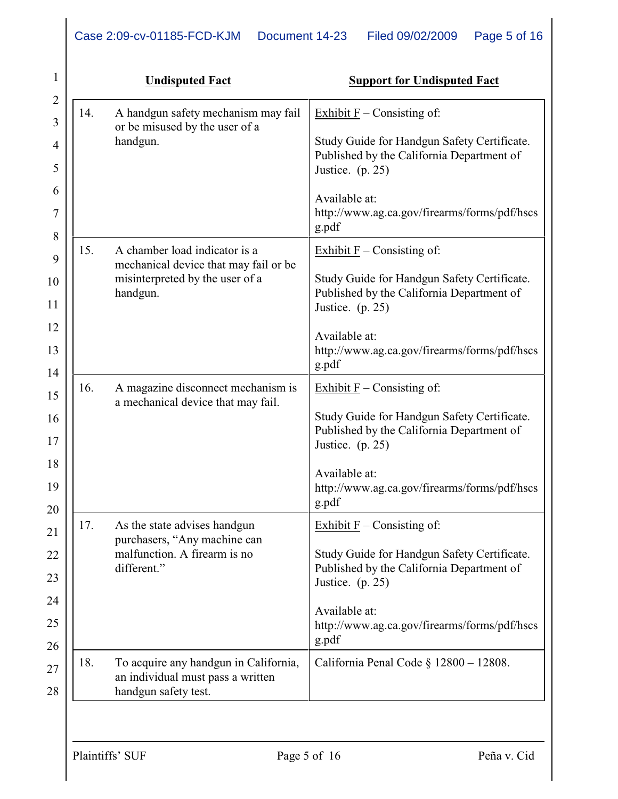| 1                   |     | <b>Undisputed Fact</b>                                                                             | <b>Support for Undisputed Fact</b>                                                                           |
|---------------------|-----|----------------------------------------------------------------------------------------------------|--------------------------------------------------------------------------------------------------------------|
| $\overline{2}$<br>3 | 14. | A handgun safety mechanism may fail                                                                | Exhibit $F$ – Consisting of:                                                                                 |
| 4                   |     | or be misused by the user of a<br>handgun.                                                         | Study Guide for Handgun Safety Certificate.<br>Published by the California Department of                     |
| 5                   |     |                                                                                                    | Justice. (p. 25)                                                                                             |
| 6<br>7              |     |                                                                                                    | Available at:<br>http://www.ag.ca.gov/firearms/forms/pdf/hscs<br>g.pdf                                       |
| 8                   | 15. | A chamber load indicator is a                                                                      | Exhibit $F$ – Consisting of:                                                                                 |
| 9<br>10             |     | mechanical device that may fail or be<br>misinterpreted by the user of a                           | Study Guide for Handgun Safety Certificate.                                                                  |
| 11                  |     | handgun.                                                                                           | Published by the California Department of<br>Justice. (p. 25)                                                |
| 12                  |     |                                                                                                    | Available at:                                                                                                |
| 13<br>14            |     |                                                                                                    | http://www.ag.ca.gov/firearms/forms/pdf/hscs<br>g.pdf                                                        |
| 15                  | 16. | A magazine disconnect mechanism is<br>a mechanical device that may fail.                           | Exhibit $F$ – Consisting of:                                                                                 |
| 16<br>17            |     |                                                                                                    | Study Guide for Handgun Safety Certificate.<br>Published by the California Department of<br>Justice. (p. 25) |
| 18<br>19<br>20      |     |                                                                                                    | Available at:<br>http://www.ag.ca.gov/firearms/forms/pdf/hscs<br>g.pdf                                       |
| 21                  | 17. | As the state advises handgun<br>purchasers, "Any machine can                                       | Exhibit $F$ – Consisting of:                                                                                 |
| 22                  |     | malfunction. A firearm is no                                                                       | Study Guide for Handgun Safety Certificate.                                                                  |
| 23                  |     | different."                                                                                        | Published by the California Department of<br>Justice. $(p. 25)$                                              |
| 24                  |     |                                                                                                    | Available at:                                                                                                |
| 25<br>26            |     |                                                                                                    | http://www.ag.ca.gov/firearms/forms/pdf/hscs<br>g.pdf                                                        |
| 27<br>28            | 18. | To acquire any handgun in California,<br>an individual must pass a written<br>handgun safety test. | California Penal Code $\S$ 12800 - 12808.                                                                    |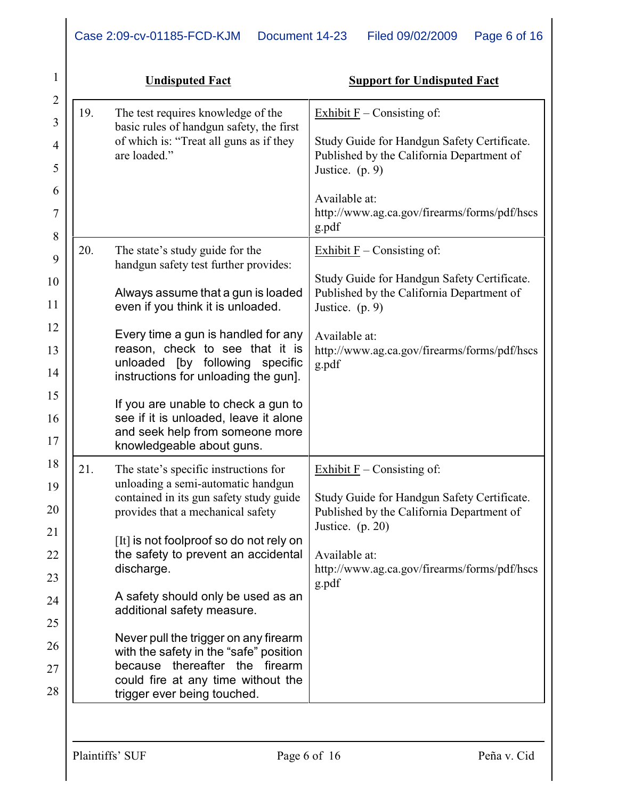| $\mathbf{1}$        |     | <b>Undisputed Fact</b>                                                                              | <b>Support for Undisputed Fact</b>                                                       |
|---------------------|-----|-----------------------------------------------------------------------------------------------------|------------------------------------------------------------------------------------------|
| $\overline{2}$<br>3 | 19. | The test requires knowledge of the                                                                  | Exhibit $F$ – Consisting of:                                                             |
| 4                   |     | basic rules of handgun safety, the first<br>of which is: "Treat all guns as if they<br>are loaded." | Study Guide for Handgun Safety Certificate.<br>Published by the California Department of |
| 5                   |     |                                                                                                     | Justice. $(p. 9)$                                                                        |
| 6<br>7              |     |                                                                                                     | Available at:<br>http://www.ag.ca.gov/firearms/forms/pdf/hscs                            |
| $8\,$               |     |                                                                                                     | g.pdf                                                                                    |
| 9                   | 20. | The state's study guide for the<br>handgun safety test further provides:                            | Exhibit $F$ – Consisting of:                                                             |
| 10                  |     |                                                                                                     | Study Guide for Handgun Safety Certificate.                                              |
| 11                  |     | Always assume that a gun is loaded<br>even if you think it is unloaded.                             | Published by the California Department of<br>Justice. $(p. 9)$                           |
| 12                  |     | Every time a gun is handled for any<br>reason, check to see that it is                              | Available at:                                                                            |
| 13<br>14            |     | unloaded [by following specific                                                                     | http://www.ag.ca.gov/firearms/forms/pdf/hscs<br>g.pdf                                    |
| 15                  |     | instructions for unloading the gun].                                                                |                                                                                          |
| 16                  |     | If you are unable to check a gun to<br>see if it is unloaded, leave it alone                        |                                                                                          |
| 17                  |     | and seek help from someone more<br>knowledgeable about guns.                                        |                                                                                          |
| 18                  | 21. | The state's specific instructions for                                                               | Exhibit $F$ – Consisting of:                                                             |
| 19                  |     | unloading a semi-automatic handgun<br>contained in its gun safety study guide                       | Study Guide for Handgun Safety Certificate.                                              |
| 20                  |     | provides that a mechanical safety                                                                   | Published by the California Department of<br>Justice. $(p. 20)$                          |
| 21                  |     | [It] is not foolproof so do not rely on                                                             |                                                                                          |
| 22<br>23            |     | the safety to prevent an accidental<br>discharge.                                                   | Available at:<br>http://www.ag.ca.gov/firearms/forms/pdf/hscs                            |
| 24                  |     | A safety should only be used as an                                                                  | g.pdf                                                                                    |
| 25                  |     | additional safety measure.                                                                          |                                                                                          |
| 26                  |     | Never pull the trigger on any firearm                                                               |                                                                                          |
| 27                  |     | with the safety in the "safe" position<br>because thereafter the firearm                            |                                                                                          |
| 28                  |     | could fire at any time without the<br>trigger ever being touched.                                   |                                                                                          |
|                     |     |                                                                                                     |                                                                                          |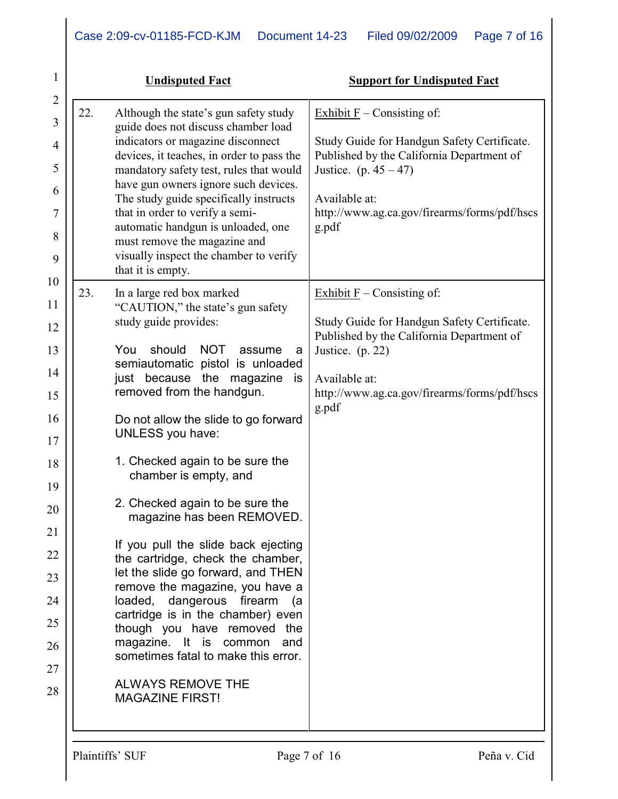| 1                                                                                                              |     | <b>Undisputed Fact</b>                                                                                                                                                                                                                                                                                                                                                                                                                                                                                                                                                                                                                                                                                                                                                                                                                 | <b>Support for Undisputed Fact</b>                                                                                                                                                                                             |
|----------------------------------------------------------------------------------------------------------------|-----|----------------------------------------------------------------------------------------------------------------------------------------------------------------------------------------------------------------------------------------------------------------------------------------------------------------------------------------------------------------------------------------------------------------------------------------------------------------------------------------------------------------------------------------------------------------------------------------------------------------------------------------------------------------------------------------------------------------------------------------------------------------------------------------------------------------------------------------|--------------------------------------------------------------------------------------------------------------------------------------------------------------------------------------------------------------------------------|
| $\overline{2}$<br>3<br>4<br>5<br>6<br>7<br>8<br>9                                                              | 22. | Although the state's gun safety study<br>guide does not discuss chamber load<br>indicators or magazine disconnect<br>devices, it teaches, in order to pass the<br>mandatory safety test, rules that would<br>have gun owners ignore such devices.<br>The study guide specifically instructs<br>that in order to verify a semi-<br>automatic handgun is unloaded, one<br>must remove the magazine and<br>visually inspect the chamber to verify<br>that it is empty.                                                                                                                                                                                                                                                                                                                                                                    | Exhibit $F$ – Consisting of:<br>Study Guide for Handgun Safety Certificate.<br>Published by the California Department of<br>Justice. (p. $45 - 47$ )<br>Available at:<br>http://www.ag.ca.gov/firearms/forms/pdf/hscs<br>g.pdf |
| 10<br>11<br>12<br>13<br>14<br>15<br>16<br>17<br>18<br>19<br>20<br>21<br>22<br>23<br>24<br>25<br>26<br>27<br>28 | 23. | In a large red box marked<br>"CAUTION," the state's gun safety<br>study guide provides:<br>should<br><b>NOT</b><br>You<br>assume<br>a<br>semiautomatic pistol is unloaded<br>just because the magazine<br>is<br>removed from the handgun.<br>Do not allow the slide to go forward<br><b>UNLESS</b> you have:<br>1. Checked again to be sure the<br>chamber is empty, and<br>2. Checked again to be sure the<br>magazine has been REMOVED.<br>If you pull the slide back ejecting<br>the cartridge, check the chamber,<br>let the slide go forward, and THEN<br>remove the magazine, you have a<br>loaded, dangerous firearm<br>(a<br>cartridge is in the chamber) even<br>though you have removed the<br>magazine. It is<br>common<br>and<br>sometimes fatal to make this error.<br><b>ALWAYS REMOVE THE</b><br><b>MAGAZINE FIRST!</b> | Exhibit $F$ – Consisting of:<br>Study Guide for Handgun Safety Certificate.<br>Published by the California Department of<br>Justice. (p. 22)<br>Available at:<br>http://www.ag.ca.gov/firearms/forms/pdf/hscs<br>g.pdf         |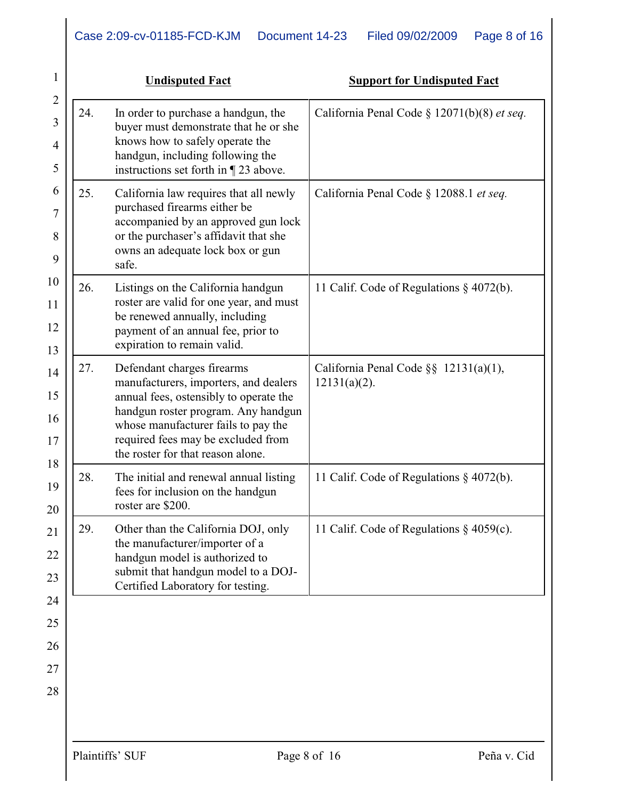|     | <b>Undisputed Fact</b>                                                                                                                                                                                                                                                 | <b>Support for Undisputed Fact</b>                           |
|-----|------------------------------------------------------------------------------------------------------------------------------------------------------------------------------------------------------------------------------------------------------------------------|--------------------------------------------------------------|
| 24. | In order to purchase a handgun, the<br>buyer must demonstrate that he or she<br>knows how to safely operate the<br>handgun, including following the<br>instructions set forth in $\P$ 23 above.                                                                        | California Penal Code § 12071(b)(8) et seq.                  |
| 25. | California law requires that all newly<br>purchased firearms either be<br>accompanied by an approved gun lock<br>or the purchaser's affidavit that she<br>owns an adequate lock box or gun<br>safe.                                                                    | California Penal Code § 12088.1 et seq.                      |
| 26. | Listings on the California handgun<br>roster are valid for one year, and must<br>be renewed annually, including<br>payment of an annual fee, prior to<br>expiration to remain valid.                                                                                   | 11 Calif. Code of Regulations § 4072(b).                     |
| 27. | Defendant charges firearms<br>manufacturers, importers, and dealers<br>annual fees, ostensibly to operate the<br>handgun roster program. Any handgun<br>whose manufacturer fails to pay the<br>required fees may be excluded from<br>the roster for that reason alone. | California Penal Code $\S\S$ 12131(a)(1),<br>$12131(a)(2)$ . |
| 28. | The initial and renewal annual listing<br>fees for inclusion on the handgun<br>roster are \$200.                                                                                                                                                                       | 11 Calif. Code of Regulations § 4072(b).                     |
| 29. | Other than the California DOJ, only<br>the manufacturer/importer of a<br>handgun model is authorized to<br>submit that handgun model to a DOJ-<br>Certified Laboratory for testing.                                                                                    | 11 Calif. Code of Regulations $\S$ 4059(c).                  |
|     |                                                                                                                                                                                                                                                                        |                                                              |
|     |                                                                                                                                                                                                                                                                        |                                                              |
|     |                                                                                                                                                                                                                                                                        |                                                              |
|     |                                                                                                                                                                                                                                                                        |                                                              |
|     |                                                                                                                                                                                                                                                                        |                                                              |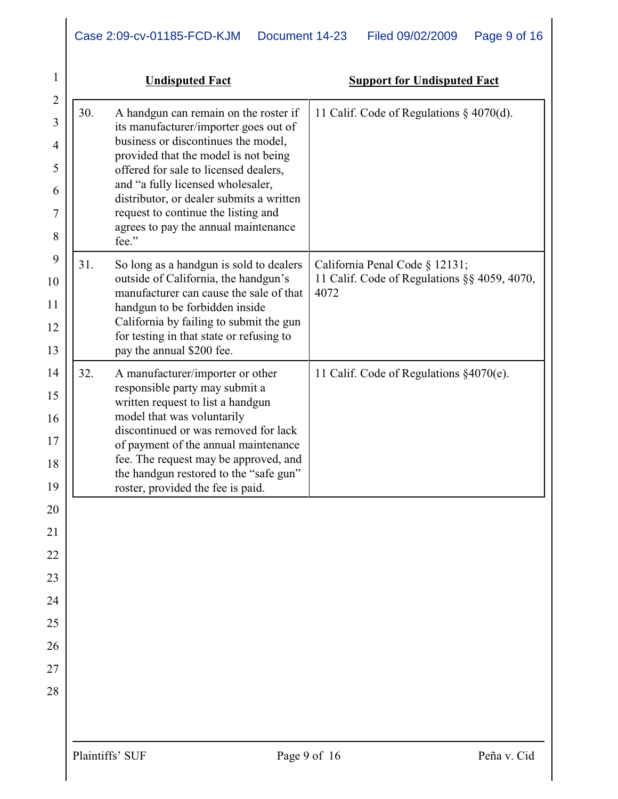| 1                                            |     | <b>Undisputed Fact</b>                                                                                                                                                                                                                                                                                                                                                          | <b>Support for Undisputed Fact</b>                                                     |
|----------------------------------------------|-----|---------------------------------------------------------------------------------------------------------------------------------------------------------------------------------------------------------------------------------------------------------------------------------------------------------------------------------------------------------------------------------|----------------------------------------------------------------------------------------|
| $\overline{2}$<br>3<br>4<br>5<br>6<br>7<br>8 | 30. | A handgun can remain on the roster if<br>its manufacturer/importer goes out of<br>business or discontinues the model,<br>provided that the model is not being<br>offered for sale to licensed dealers,<br>and "a fully licensed wholesaler,<br>distributor, or dealer submits a written<br>request to continue the listing and<br>agrees to pay the annual maintenance<br>fee." | 11 Calif. Code of Regulations $\S$ 4070(d).                                            |
| 9<br>10<br>11<br>12<br>13                    | 31. | So long as a handgun is sold to dealers<br>outside of California, the handgun's<br>manufacturer can cause the sale of that<br>handgun to be forbidden inside<br>California by failing to submit the gun<br>for testing in that state or refusing to<br>pay the annual \$200 fee.                                                                                                | California Penal Code § 12131;<br>11 Calif. Code of Regulations §§ 4059, 4070,<br>4072 |
| 14<br>15<br>16<br>17<br>18<br>19             | 32. | A manufacturer/importer or other<br>responsible party may submit a<br>written request to list a handgun<br>model that was voluntarily<br>discontinued or was removed for lack<br>of payment of the annual maintenance<br>fee. The request may be approved, and<br>the handgun restored to the "safe gun"<br>roster, provided the fee is paid.                                   | 11 Calif. Code of Regulations §4070(e).                                                |
| 20                                           |     |                                                                                                                                                                                                                                                                                                                                                                                 |                                                                                        |
| $\overline{21}$                              |     |                                                                                                                                                                                                                                                                                                                                                                                 |                                                                                        |
| 22                                           |     |                                                                                                                                                                                                                                                                                                                                                                                 |                                                                                        |
| 23                                           |     |                                                                                                                                                                                                                                                                                                                                                                                 |                                                                                        |
| 24                                           |     |                                                                                                                                                                                                                                                                                                                                                                                 |                                                                                        |
| 25                                           |     |                                                                                                                                                                                                                                                                                                                                                                                 |                                                                                        |
| 26<br>27                                     |     |                                                                                                                                                                                                                                                                                                                                                                                 |                                                                                        |
| 28                                           |     |                                                                                                                                                                                                                                                                                                                                                                                 |                                                                                        |
|                                              |     |                                                                                                                                                                                                                                                                                                                                                                                 |                                                                                        |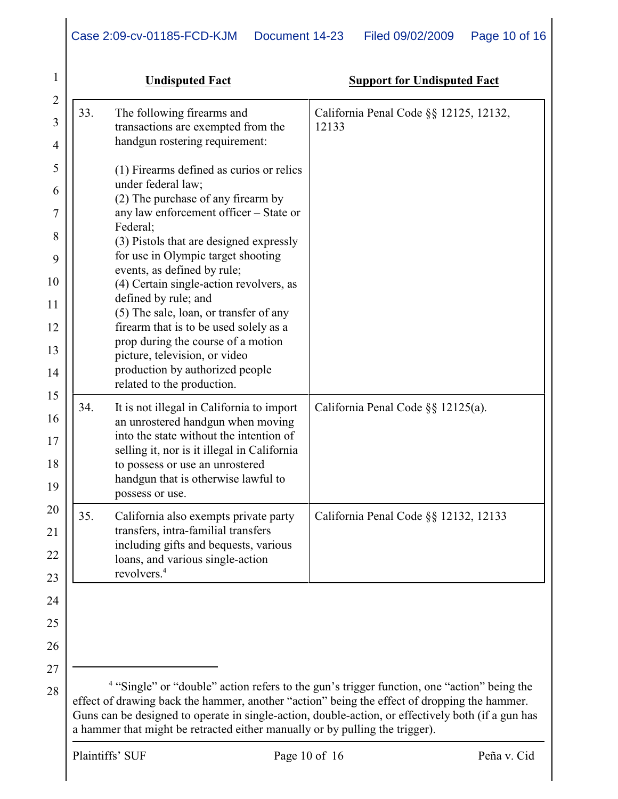| 1        |     | <b>Undisputed Fact</b>                                                         | <b>Support for Undisputed Fact</b>     |
|----------|-----|--------------------------------------------------------------------------------|----------------------------------------|
| 2<br>3   | 33. | The following firearms and                                                     | California Penal Code §§ 12125, 12132, |
| 4        |     | transactions are exempted from the<br>handgun rostering requirement:           | 12133                                  |
| 5        |     | (1) Firearms defined as curios or relics                                       |                                        |
| 6        |     | under federal law;<br>(2) The purchase of any firearm by                       |                                        |
| 7        |     | any law enforcement officer - State or                                         |                                        |
| 8        |     | Federal;<br>(3) Pistols that are designed expressly                            |                                        |
| 9        |     | for use in Olympic target shooting<br>events, as defined by rule;              |                                        |
| 10       |     | (4) Certain single-action revolvers, as<br>defined by rule; and                |                                        |
| 11       |     | (5) The sale, loan, or transfer of any                                         |                                        |
| 12       |     | firearm that is to be used solely as a<br>prop during the course of a motion   |                                        |
| 13<br>14 |     | picture, television, or video<br>production by authorized people               |                                        |
| 15       |     | related to the production.                                                     |                                        |
| 16       | 34. | It is not illegal in California to import<br>an unrostered handgun when moving | California Penal Code §§ 12125(a).     |
| 17       |     | into the state without the intention of                                        |                                        |
| 18       |     | selling it, nor is it illegal in California<br>to possess or use an unrostered |                                        |
| 19       |     | handgun that is otherwise lawful to<br>possess or use.                         |                                        |
| 20       | 35  | California also exempts private party                                          | California Penal Code §§ 12132, 12133  |
| 21       |     | transfers, intra-familial transfers<br>including gifts and bequests, various   |                                        |
| 22<br>23 |     | loans, and various single-action<br>revolvers. <sup>4</sup>                    |                                        |
| 24       |     |                                                                                |                                        |
| 25       |     |                                                                                |                                        |
| 26       |     |                                                                                |                                        |
| 27       |     |                                                                                |                                        |

<sup>4</sup> "Single" or "double" action refers to the gun's trigger function, one "action" being the effect of drawing back the hammer, another "action" being the effect of dropping the hammer. Guns can be designed to operate in single-action, double-action, or effectively both (if a gun has a hammer that might be retracted either manually or by pulling the trigger).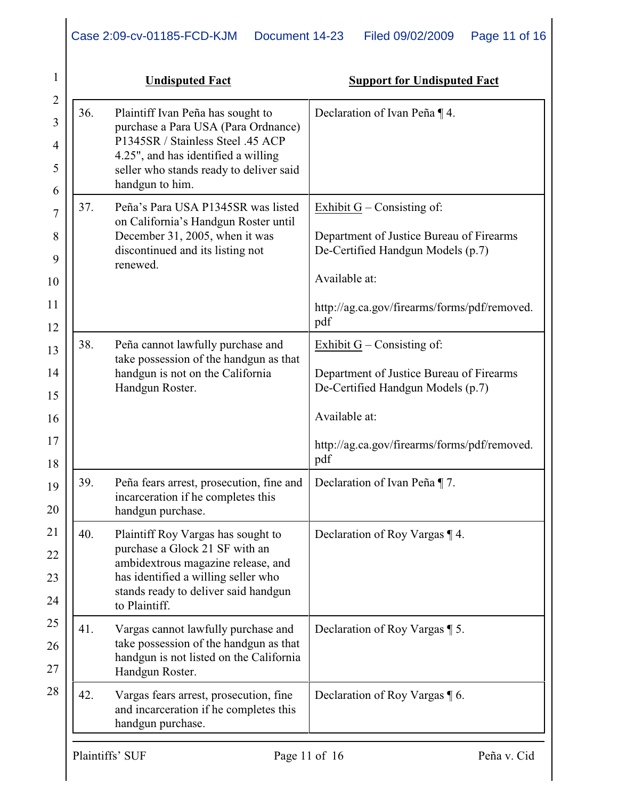|     | <b>Undisputed Fact</b>                                                                                                                                                                                             | <b>Support for Undisputed Fact</b>                                                                                                                                                    |
|-----|--------------------------------------------------------------------------------------------------------------------------------------------------------------------------------------------------------------------|---------------------------------------------------------------------------------------------------------------------------------------------------------------------------------------|
| 36. | Plaintiff Ivan Peña has sought to<br>purchase a Para USA (Para Ordnance)<br>P1345SR / Stainless Steel .45 ACP<br>4.25", and has identified a willing<br>seller who stands ready to deliver said<br>handgun to him. | Declaration of Ivan Peña ¶ 4.                                                                                                                                                         |
| 37. | Peña's Para USA P1345SR was listed<br>on California's Handgun Roster until<br>December 31, 2005, when it was<br>discontinued and its listing not<br>renewed.                                                       | Exhibit $G$ – Consisting of:<br>Department of Justice Bureau of Firearms<br>De-Certified Handgun Models (p.7)<br>Available at:                                                        |
|     |                                                                                                                                                                                                                    | http://ag.ca.gov/firearms/forms/pdf/removed.<br>pdf                                                                                                                                   |
| 38. | Peña cannot lawfully purchase and<br>take possession of the handgun as that<br>handgun is not on the California<br>Handgun Roster.                                                                                 | Exhibit $G$ – Consisting of:<br>Department of Justice Bureau of Firearms<br>De-Certified Handgun Models (p.7)<br>Available at:<br>http://ag.ca.gov/firearms/forms/pdf/removed.<br>pdf |
| 39. | Peña fears arrest, prosecution, fine and<br>incarceration if he completes this<br>handgun purchase.                                                                                                                | Declaration of Ivan Peña ¶ 7.                                                                                                                                                         |
| 40. | Plaintiff Roy Vargas has sought to<br>purchase a Glock 21 SF with an<br>ambidextrous magazine release, and<br>has identified a willing seller who<br>stands ready to deliver said handgun<br>to Plaintiff.         | Declaration of Roy Vargas ¶ 4.                                                                                                                                                        |
| 41. | Vargas cannot lawfully purchase and<br>take possession of the handgun as that<br>handgun is not listed on the California<br>Handgun Roster.                                                                        | Declaration of Roy Vargas ¶ 5.                                                                                                                                                        |
| 42. | Vargas fears arrest, prosecution, fine<br>and incarceration if he completes this<br>handgun purchase.                                                                                                              | Declaration of Roy Vargas ¶ 6.                                                                                                                                                        |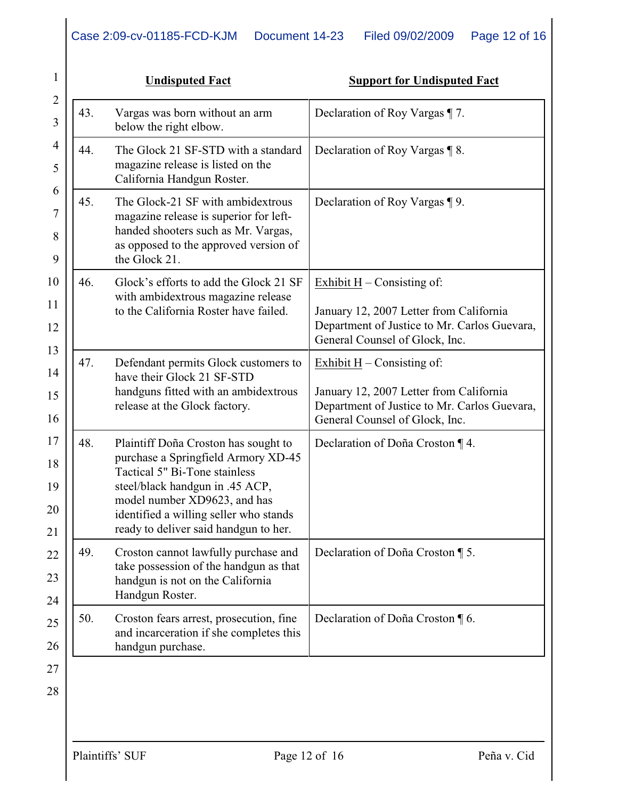|     | <b>Undisputed Fact</b>                                                                                                                                                                                                                                             | <b>Support for Undisputed Fact</b>                                                                                                                        |
|-----|--------------------------------------------------------------------------------------------------------------------------------------------------------------------------------------------------------------------------------------------------------------------|-----------------------------------------------------------------------------------------------------------------------------------------------------------|
| 43. | Vargas was born without an arm<br>below the right elbow.                                                                                                                                                                                                           | Declaration of Roy Vargas ¶ 7.                                                                                                                            |
| 44. | The Glock 21 SF-STD with a standard<br>magazine release is listed on the<br>California Handgun Roster.                                                                                                                                                             | Declaration of Roy Vargas ¶ 8.                                                                                                                            |
| 45. | The Glock-21 SF with ambidextrous<br>magazine release is superior for left-<br>handed shooters such as Mr. Vargas,<br>as opposed to the approved version of<br>the Glock 21.                                                                                       | Declaration of Roy Vargas ¶ 9.                                                                                                                            |
| 46. | Glock's efforts to add the Glock 21 SF<br>with ambidextrous magazine release<br>to the California Roster have failed.                                                                                                                                              | Exhibit $H -$ Consisting of:<br>January 12, 2007 Letter from California<br>Department of Justice to Mr. Carlos Guevara,<br>General Counsel of Glock, Inc. |
| 47. | Defendant permits Glock customers to<br>have their Glock 21 SF-STD<br>handguns fitted with an ambidextrous<br>release at the Glock factory.                                                                                                                        | Exhibit $H -$ Consisting of:<br>January 12, 2007 Letter from California<br>Department of Justice to Mr. Carlos Guevara,<br>General Counsel of Glock, Inc. |
| 48. | Plaintiff Doña Croston has sought to<br>purchase a Springfield Armory XD-45<br>Tactical 5" Bi-Tone stainless<br>steel/black handgun in .45 ACP,<br>model number XD9623, and has<br>identified a willing seller who stands<br>ready to deliver said handgun to her. | Declaration of Doña Croston ¶ 4.                                                                                                                          |
| 49. | Croston cannot lawfully purchase and<br>take possession of the handgun as that<br>handgun is not on the California<br>Handgun Roster.                                                                                                                              | Declaration of Doña Croston ¶ 5.                                                                                                                          |
| 50. | Croston fears arrest, prosecution, fine<br>and incarceration if she completes this<br>handgun purchase.                                                                                                                                                            | Declaration of Doña Croston ¶ 6.                                                                                                                          |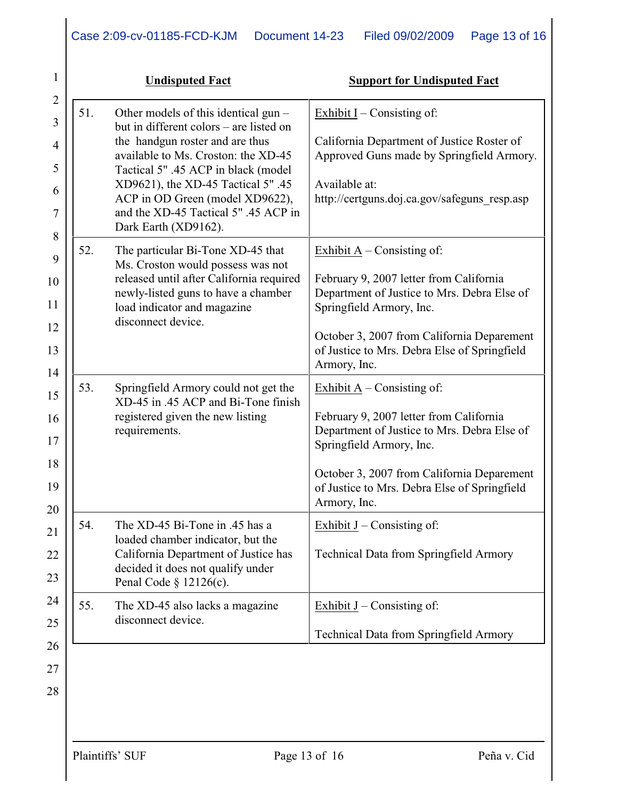|     | <b>Undisputed Fact</b>                                                                                                                                                                                                                                                                                                                    | <b>Support for Undisputed Fact</b>                                                                                                                                                                                                                               |
|-----|-------------------------------------------------------------------------------------------------------------------------------------------------------------------------------------------------------------------------------------------------------------------------------------------------------------------------------------------|------------------------------------------------------------------------------------------------------------------------------------------------------------------------------------------------------------------------------------------------------------------|
| 51. | Other models of this identical gun -<br>but in different colors – are listed on<br>the handgun roster and are thus<br>available to Ms. Croston: the XD-45<br>Tactical 5" .45 ACP in black (model<br>XD9621), the XD-45 Tactical 5" .45<br>ACP in OD Green (model XD9622),<br>and the XD-45 Tactical 5" .45 ACP in<br>Dark Earth (XD9162). | Exhibit $I$ – Consisting of:<br>California Department of Justice Roster of<br>Approved Guns made by Springfield Armory.<br>Available at:<br>http://certguns.doj.ca.gov/safeguns resp.asp                                                                         |
| 52. | The particular Bi-Tone XD-45 that<br>Ms. Croston would possess was not<br>released until after California required<br>newly-listed guns to have a chamber<br>load indicator and magazine<br>disconnect device.                                                                                                                            | Exhibit $A$ – Consisting of:<br>February 9, 2007 letter from California<br>Department of Justice to Mrs. Debra Else of<br>Springfield Armory, Inc.<br>October 3, 2007 from California Deparement<br>of Justice to Mrs. Debra Else of Springfield<br>Armory, Inc. |
| 53. | Springfield Armory could not get the<br>XD-45 in .45 ACP and Bi-Tone finish<br>registered given the new listing<br>requirements.                                                                                                                                                                                                          | Exhibit $A$ – Consisting of:<br>February 9, 2007 letter from California<br>Department of Justice to Mrs. Debra Else of<br>Springfield Armory, Inc.<br>October 3, 2007 from California Deparement<br>of Justice to Mrs. Debra Else of Springfield<br>Armory, Inc. |
| 54. | The XD-45 Bi-Tone in .45 has a<br>loaded chamber indicator, but the<br>California Department of Justice has<br>decided it does not qualify under<br>Penal Code $\S$ 12126(c).                                                                                                                                                             | Exhibit $J$ – Consisting of:<br><b>Technical Data from Springfield Armory</b>                                                                                                                                                                                    |
| 55. | The XD-45 also lacks a magazine<br>disconnect device.                                                                                                                                                                                                                                                                                     | Exhibit $J$ – Consisting of:<br>Technical Data from Springfield Armory                                                                                                                                                                                           |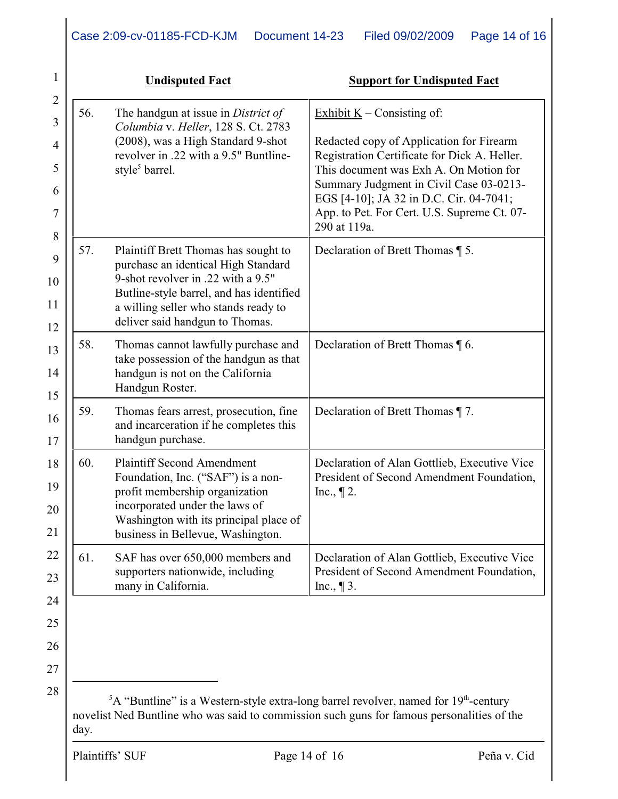|     | <b>Undisputed Fact</b>                                                                                                                                                                                                                   | <b>Support for Undisputed Fact</b>                                                                                                                                                                                                                                                                                      |
|-----|------------------------------------------------------------------------------------------------------------------------------------------------------------------------------------------------------------------------------------------|-------------------------------------------------------------------------------------------------------------------------------------------------------------------------------------------------------------------------------------------------------------------------------------------------------------------------|
| 56. | The handgun at issue in District of<br>Columbia v. Heller, 128 S. Ct. 2783<br>(2008), was a High Standard 9-shot<br>revolver in .22 with a 9.5" Buntline-<br>style <sup>5</sup> barrel.                                                  | Exhibit $K$ – Consisting of:<br>Redacted copy of Application for Firearm<br>Registration Certificate for Dick A. Heller.<br>This document was Exh A. On Motion for<br>Summary Judgment in Civil Case 03-0213-<br>EGS [4-10]; JA 32 in D.C. Cir. 04-7041;<br>App. to Pet. For Cert. U.S. Supreme Ct. 07-<br>290 at 119a. |
| 57. | Plaintiff Brett Thomas has sought to<br>purchase an identical High Standard<br>9-shot revolver in .22 with a 9.5"<br>Butline-style barrel, and has identified<br>a willing seller who stands ready to<br>deliver said handgun to Thomas. | Declaration of Brett Thomas 1 5.                                                                                                                                                                                                                                                                                        |
| 58. | Thomas cannot lawfully purchase and<br>take possession of the handgun as that<br>handgun is not on the California<br>Handgun Roster.                                                                                                     | Declaration of Brett Thomas 16.                                                                                                                                                                                                                                                                                         |
| 59. | Thomas fears arrest, prosecution, fine<br>and incarceration if he completes this<br>handgun purchase.                                                                                                                                    | Declaration of Brett Thomas ¶ 7.                                                                                                                                                                                                                                                                                        |
| 60. | <b>Plaintiff Second Amendment</b><br>Foundation, Inc. ("SAF") is a non-<br>profit membership organization<br>incorporated under the laws of<br>Washington with its principal place of<br>business in Bellevue, Washington.               | Declaration of Alan Gottlieb, Executive Vice<br>President of Second Amendment Foundation,<br>Inc., $\P$ 2.                                                                                                                                                                                                              |
| 61. | SAF has over 650,000 members and<br>supporters nationwide, including<br>many in California.                                                                                                                                              | Declaration of Alan Gottlieb, Executive Vice<br>President of Second Amendment Foundation,<br>Inc., $\P$ 3.                                                                                                                                                                                                              |

A "Buntline" is a Western-style extra-long barrel revolver, named for  $19<sup>th</sup>$ -century novelist Ned Buntline who was said to commission such guns for famous personalities of the day.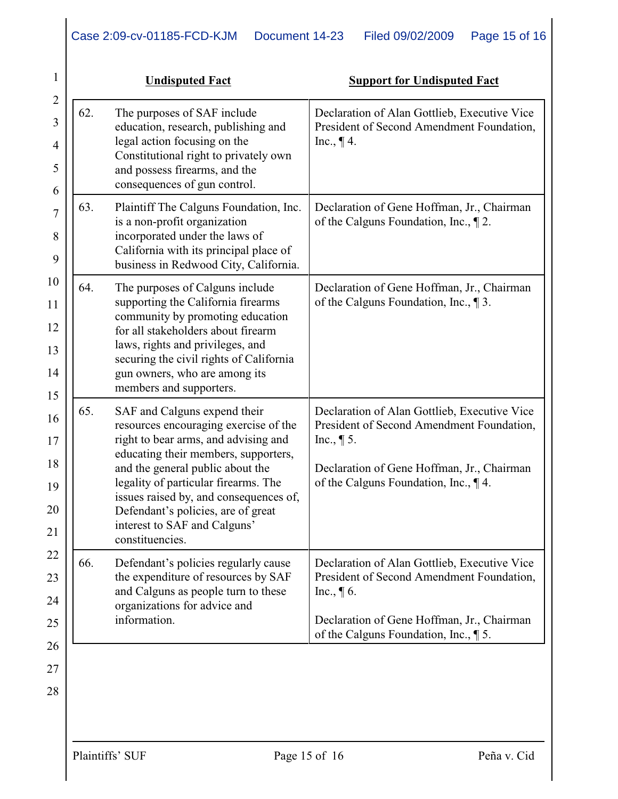| 1              |     | <b>Undisputed Fact</b>                                                                                                                                             | <b>Support for Undisputed Fact</b>                                                                         |
|----------------|-----|--------------------------------------------------------------------------------------------------------------------------------------------------------------------|------------------------------------------------------------------------------------------------------------|
| $\overline{2}$ |     |                                                                                                                                                                    |                                                                                                            |
| 3              | 62. | The purposes of SAF include<br>education, research, publishing and                                                                                                 | Declaration of Alan Gottlieb, Executive Vice<br>President of Second Amendment Foundation,                  |
| 4<br>5         |     | legal action focusing on the<br>Constitutional right to privately own<br>and possess firearms, and the                                                             | Inc., $\P$ 4.                                                                                              |
| 6              |     | consequences of gun control.                                                                                                                                       |                                                                                                            |
| 7<br>8         | 63. | Plaintiff The Calguns Foundation, Inc.<br>is a non-profit organization<br>incorporated under the laws of<br>California with its principal place of                 | Declaration of Gene Hoffman, Jr., Chairman<br>of the Calguns Foundation, Inc., $\P$ 2.                     |
| 9              |     | business in Redwood City, California.                                                                                                                              |                                                                                                            |
| 10<br>11       | 64. | The purposes of Calguns include<br>supporting the California firearms                                                                                              | Declaration of Gene Hoffman, Jr., Chairman<br>of the Calguns Foundation, Inc., 1 3.                        |
| 12             |     | community by promoting education<br>for all stakeholders about firearm                                                                                             |                                                                                                            |
| 13             |     | laws, rights and privileges, and                                                                                                                                   |                                                                                                            |
| 14             |     | securing the civil rights of California<br>gun owners, who are among its<br>members and supporters.                                                                |                                                                                                            |
| 15<br>16<br>17 | 65. | SAF and Calguns expend their<br>resources encouraging exercise of the<br>right to bear arms, and advising and                                                      | Declaration of Alan Gottlieb, Executive Vice<br>President of Second Amendment Foundation,<br>Inc., $\P$ 5. |
| 18             |     | educating their members, supporters,                                                                                                                               |                                                                                                            |
| 19             |     | and the general public about the<br>legality of particular firearms. The                                                                                           | Declaration of Gene Hoffman, Jr., Chairman<br>of the Calguns Foundation, Inc., 14.                         |
| 20             |     | issues raised by, and consequences of,<br>Defendant's policies, are of great                                                                                       |                                                                                                            |
| 21             |     | interest to SAF and Calguns'<br>constituencies.                                                                                                                    |                                                                                                            |
| 22             | 66. | Defendant's policies regularly cause<br>the expenditure of resources by SAF<br>and Calguns as people turn to these<br>organizations for advice and<br>information. | Declaration of Alan Gottlieb, Executive Vice                                                               |
| 23             |     |                                                                                                                                                                    | President of Second Amendment Foundation,<br>Inc., $\P$ 6.                                                 |
| 24             |     |                                                                                                                                                                    | Declaration of Gene Hoffman, Jr., Chairman                                                                 |
| 25<br>26       |     |                                                                                                                                                                    | of the Calguns Foundation, Inc., 15.                                                                       |
| 27             |     |                                                                                                                                                                    |                                                                                                            |
| 28             |     |                                                                                                                                                                    |                                                                                                            |